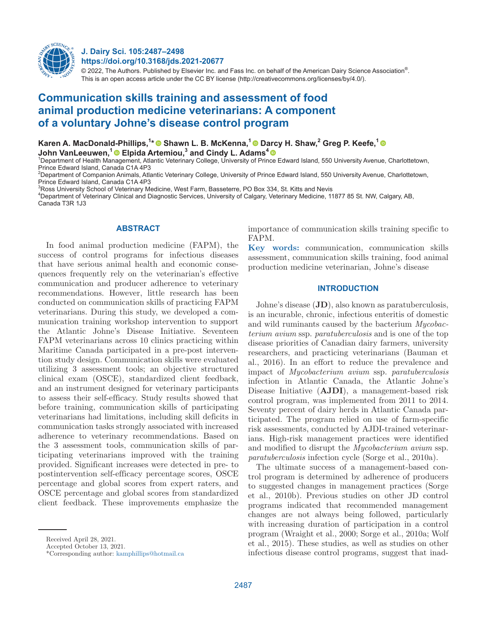

# **J. Dairy Sci. 105:2487–2498 https://doi.org/10.3168/jds.2021-20677**

 $@$  2022, The Authors. Published by Elsevier Inc. and Fass Inc. on behalf of the American Dairy Science Association $^{\circ}$ . This is an open access article under the CC BY license (http://creativecommons.org/licenses/by/4.0/).

# **Communication skills training and assessment of food animal production medicine veterinarians: A component of a voluntary Johne's disease control program**

**Karen A. MacDonald-Phillips,1 [\\* S](https://orcid.org/0000-0001-5218-564X)hawn L. B. McKenna,1 [D](https://orcid.org/0000-0002-9699-1464)[arcy](https://orcid.org/0000-0003-2390-4347) H. Shaw,2 Greg P. Keefe,1 John VanLeeuwen,1Elpida Artemiou,3 and Cindy L. Adams<sup>4</sup>**

1 Department of Health Management, Atlantic Veterinary College, University of Prince Edward Island, 550 University Avenue, Charlottetown, Prince Edward Island, Canada C1A 4P3

2 Department of Companion Animals, Atlantic Veterinary College, University of Prince Edward Island, 550 University Avenue, Charlottetown, Prince Edward Island, Canada C1A 4P3

 $^3$ Ross University School of Veterinary Medicine, West Farm, Basseterre, PO Box 334, St. Kitts and Nevis

4 Department of Veterinary Clinical and Diagnostic Services, University of Calgary, Veterinary Medicine, 11877 85 St. NW, Calgary, AB, Canada T3R 1.I3

## **ABSTRACT**

In food animal production medicine (FAPM), the success of control programs for infectious diseases that have serious animal health and economic consequences frequently rely on the veterinarian's effective communication and producer adherence to veterinary recommendations. However, little research has been conducted on communication skills of practicing FAPM veterinarians. During this study, we developed a communication training workshop intervention to support the Atlantic Johne's Disease Initiative. Seventeen FAPM veterinarians across 10 clinics practicing within Maritime Canada participated in a pre-post intervention study design. Communication skills were evaluated utilizing 3 assessment tools; an objective structured clinical exam (OSCE), standardized client feedback, and an instrument designed for veterinary participants to assess their self-efficacy. Study results showed that before training, communication skills of participating veterinarians had limitations, including skill deficits in communication tasks strongly associated with increased adherence to veterinary recommendations. Based on the 3 assessment tools, communication skills of participating veterinarians improved with the training provided. Significant increases were detected in pre- to postintervention self-efficacy percentage scores, OSCE percentage and global scores from expert raters, and OSCE percentage and global scores from standardized client feedback. These improvements emphasize the importance of communication skills training specific to FAPM.

**Key words:** communication, communication skills assessment, communication skills training, food animal production medicine veterinarian, Johne's disease

# **INTRODUCTION**

Johne's disease (**JD**), also known as paratuberculosis, is an incurable, chronic, infectious enteritis of domestic and wild ruminants caused by the bacterium *Mycobacterium avium* ssp. *paratuberculosis* and is one of the top disease priorities of Canadian dairy farmers, university researchers, and practicing veterinarians (Bauman et al., 2016). In an effort to reduce the prevalence and impact of *Mycobacterium avium* ssp. *paratuberculosis* infection in Atlantic Canada, the Atlantic Johne's Disease Initiative (**AJDI**), a management-based risk control program, was implemented from 2011 to 2014. Seventy percent of dairy herds in Atlantic Canada participated. The program relied on use of farm-specific risk assessments, conducted by AJDI-trained veterinarians. High-risk management practices were identified and modified to disrupt the *Mycobacterium avium* ssp. *paratuberculosis* infection cycle (Sorge et al., 2010a).

The ultimate success of a management-based control program is determined by adherence of producers to suggested changes in management practices (Sorge et al., 2010b). Previous studies on other JD control programs indicated that recommended management changes are not always being followed, particularly with increasing duration of participation in a control program (Wraight et al., 2000; Sorge et al., 2010a; Wolf et al., 2015). These studies, as well as studies on other infectious disease control programs, suggest that inad-

Received April 28, 2021.

Accepted October 13, 2021.

<sup>\*</sup>Corresponding author: [kamphillips@hotmail.ca](mailto:kamphillips@hotmail.ca)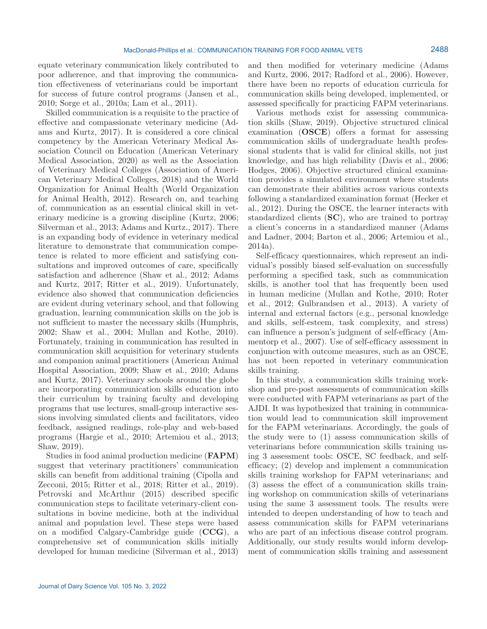equate veterinary communication likely contributed to poor adherence, and that improving the communication effectiveness of veterinarians could be important for success of future control programs (Jansen et al., 2010; Sorge et al., 2010a; Lam et al., 2011).

Skilled communication is a requisite to the practice of effective and compassionate veterinary medicine (Adams and Kurtz, 2017). It is considered a core clinical competency by the American Veterinary Medical Association Council on Education (American Veterinary Medical Association, 2020) as well as the Association of Veterinary Medical Colleges (Association of American Veterinary Medical Colleges, 2018) and the World Organization for Animal Health (World Organization for Animal Health, 2012). Research on, and teaching of, communication as an essential clinical skill in veterinary medicine is a growing discipline (Kurtz, 2006; Silverman et al., 2013; Adams and Kurtz., 2017). There is an expanding body of evidence in veterinary medical literature to demonstrate that communication competence is related to more efficient and satisfying consultations and improved outcomes of care, specifically satisfaction and adherence (Shaw et al., 2012; Adams and Kurtz, 2017; Ritter et al., 2019). Unfortunately, evidence also showed that communication deficiencies are evident during veterinary school, and that following graduation, learning communication skills on the job is not sufficient to master the necessary skills (Humphris, 2002; Shaw et al., 2004; Mullan and Kothe, 2010). Fortunately, training in communication has resulted in communication skill acquisition for veterinary students and companion animal practitioners (American Animal Hospital Association, 2009; Shaw et al., 2010; Adams and Kurtz, 2017). Veterinary schools around the globe are incorporating communication skills education into their curriculum by training faculty and developing programs that use lectures, small-group interactive sessions involving simulated clients and facilitators, video feedback, assigned readings, role-play and web-based programs (Hargie et al., 2010; Artemiou et al., 2013; Shaw, 2019).

Studies in food animal production medicine (**FAPM**) suggest that veterinary practitioners' communication skills can benefit from additional training (Cipolla and Zecconi, 2015; Ritter et al., 2018; Ritter et al., 2019). Petrovski and McArthur (2015) described specific communication steps to facilitate veterinary-client consultations in bovine medicine, both at the individual animal and population level. These steps were based on a modified Calgary-Cambridge guide (**CCG**), a comprehensive set of communication skills initially developed for human medicine (Silverman et al., 2013)

Various methods exist for assessing communication skills (Shaw, 2019). Objective structured clinical examination (**OSCE**) offers a format for assessing communication skills of undergraduate health professional students that is valid for clinical skills, not just knowledge, and has high reliability (Davis et al., 2006; Hodges, 2006). Objective structured clinical examination provides a simulated environment where students can demonstrate their abilities across various contexts following a standardized examination format (Hecker et al., 2012). During the OSCE, the learner interacts with standardized clients (**SC**), who are trained to portray a client's concerns in a standardized manner (Adams and Ladner, 2004; Barton et al., 2006; Artemiou et al., 2014a).

Self-efficacy questionnaires, which represent an individual's possibly biased self-evaluation on successfully performing a specified task, such as communication skills, is another tool that has frequently been used in human medicine (Mullan and Kothe, 2010; Roter et al., 2012; Gulbrandsen et al., 2013). A variety of internal and external factors (e.g., personal knowledge and skills, self-esteem, task complexity, and stress) can influence a person's judgment of self-efficacy (Ammentorp et al., 2007). Use of self-efficacy assessment in conjunction with outcome measures, such as an OSCE, has not been reported in veterinary communication skills training.

In this study, a communication skills training workshop and pre-post assessments of communication skills were conducted with FAPM veterinarians as part of the AJDI. It was hypothesized that training in communication would lead to communication skill improvement for the FAPM veterinarians. Accordingly, the goals of the study were to (1) assess communication skills of veterinarians before communication skills training using 3 assessment tools: OSCE, SC feedback, and selfefficacy; (2) develop and implement a communication skills training workshop for FAPM veterinarians; and (3) assess the effect of a communication skills training workshop on communication skills of veterinarians using the same 3 assessment tools. The results were intended to deepen understanding of how to teach and assess communication skills for FAPM veterinarians who are part of an infectious disease control program. Additionally, our study results would inform development of communication skills training and assessment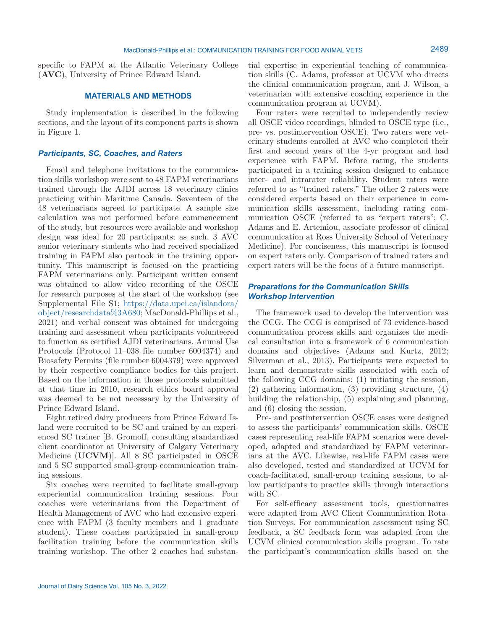specific to FAPM at the Atlantic Veterinary College (**AVC**), University of Prince Edward Island.

## **MATERIALS AND METHODS**

Study implementation is described in the following sections, and the layout of its component parts is shown in Figure 1.

## *Participants, SC, Coaches, and Raters*

Email and telephone invitations to the communication skills workshop were sent to 48 FAPM veterinarians trained through the AJDI across 18 veterinary clinics practicing within Maritime Canada. Seventeen of the 48 veterinarians agreed to participate. A sample size calculation was not performed before commencement of the study, but resources were available and workshop design was ideal for 20 participants; as such, 3 AVC senior veterinary students who had received specialized training in FAPM also partook in the training opportunity. This manuscript is focused on the practicing FAPM veterinarians only. Participant written consent was obtained to allow video recording of the OSCE for research purposes at the start of the workshop (see Supplemental File S1; [https://data.upei.ca/islandora/](https://data.upei.ca/islandora/object/researchdata%3A680) [object/researchdata%3A680;](https://data.upei.ca/islandora/object/researchdata%3A680) MacDonald-Phillips et al., 2021) and verbal consent was obtained for undergoing training and assessment when participants volunteered to function as certified AJDI veterinarians. Animal Use Protocols (Protocol 11–038 file number 6004374) and Biosafety Permits (file number 6004379) were approved by their respective compliance bodies for this project. Based on the information in those protocols submitted at that time in 2010, research ethics board approval was deemed to be not necessary by the University of Prince Edward Island.

Eight retired dairy producers from Prince Edward Island were recruited to be SC and trained by an experienced SC trainer [B. Gromoff, consulting standardized client coordinator at University of Calgary Veterinary Medicine (**UCVM**)]. All 8 SC participated in OSCE and 5 SC supported small-group communication training sessions.

Six coaches were recruited to facilitate small-group experiential communication training sessions. Four coaches were veterinarians from the Department of Health Management of AVC who had extensive experience with FAPM (3 faculty members and 1 graduate student). These coaches participated in small-group facilitation training before the communication skills training workshop. The other 2 coaches had substantial expertise in experiential teaching of communication skills (C. Adams, professor at UCVM who directs the clinical communication program, and J. Wilson, a veterinarian with extensive coaching experience in the communication program at UCVM).

Four raters were recruited to independently review all OSCE video recordings, blinded to OSCE type (i.e., pre- vs. postintervention OSCE). Two raters were veterinary students enrolled at AVC who completed their first and second years of the 4-yr program and had experience with FAPM. Before rating, the students participated in a training session designed to enhance inter- and intrarater reliability. Student raters were referred to as "trained raters." The other 2 raters were considered experts based on their experience in communication skills assessment, including rating communication OSCE (referred to as "expert raters"; C. Adams and E. Artemiou, associate professor of clinical communication at Ross University School of Veterinary Medicine). For conciseness, this manuscript is focused on expert raters only. Comparison of trained raters and expert raters will be the focus of a future manuscript.

## *Preparations for the Communication Skills Workshop Intervention*

The framework used to develop the intervention was the CCG. The CCG is comprised of 73 evidence-based communication process skills and organizes the medical consultation into a framework of 6 communication domains and objectives (Adams and Kurtz, 2012; Silverman et al., 2013). Participants were expected to learn and demonstrate skills associated with each of the following CCG domains: (1) initiating the session, (2) gathering information, (3) providing structure, (4) building the relationship, (5) explaining and planning, and (6) closing the session.

Pre- and postintervention OSCE cases were designed to assess the participants' communication skills. OSCE cases representing real-life FAPM scenarios were developed, adapted and standardized by FAPM veterinarians at the AVC. Likewise, real-life FAPM cases were also developed, tested and standardized at UCVM for coach-facilitated, small-group training sessions, to allow participants to practice skills through interactions with SC.

For self-efficacy assessment tools, questionnaires were adapted from AVC Client Communication Rotation Surveys. For communication assessment using SC feedback, a SC feedback form was adapted from the UCVM clinical communication skills program. To rate the participant's communication skills based on the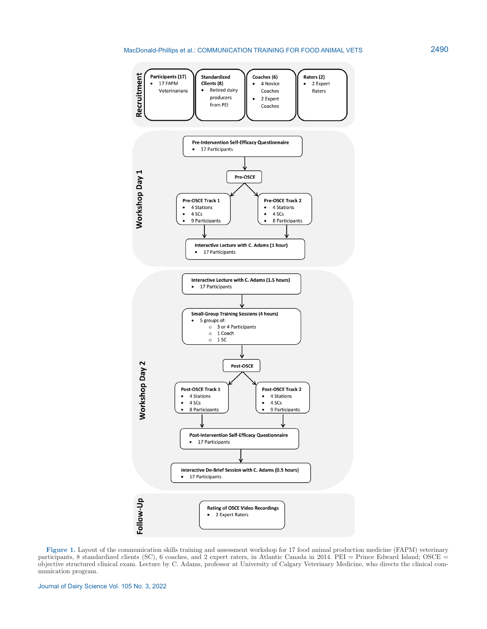#### MacDonald-Phillips et al.: COMMUNICATION TRAINING FOR FOOD ANIMAL VETS



**Figure 1.** Layout of the communication skills training and assessment workshop for 17 food animal production medicine (FAPM) veterinary participants, 8 standardized clients (SC), 6 coaches, and 2 expert raters, in Atlantic Canada in 2014. PEI = Prince Edward Island; OSCE = objective structured clinical exam. Lecture by C. Adams, professor at University of Calgary Veterinary Medicine, who directs the clinical communication program.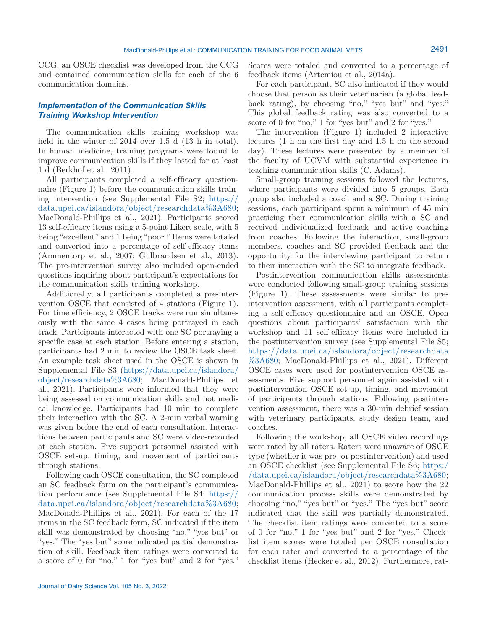CCG, an OSCE checklist was developed from the CCG and contained communication skills for each of the 6 communication domains.

# *Implementation of the Communication Skills Training Workshop Intervention*

The communication skills training workshop was held in the winter of 2014 over 1.5 d (13 h in total). In human medicine, training programs were found to improve communication skills if they lasted for at least 1 d (Berkhof et al., 2011).

All participants completed a self-efficacy questionnaire (Figure 1) before the communication skills training intervention (see Supplemental File S2; [https://](https://data.upei.ca/islandora/object/researchdata%3A680) [data.upei.ca/islandora/object/researchdata%3A680](https://data.upei.ca/islandora/object/researchdata%3A680); MacDonald-Phillips et al., 2021). Participants scored 13 self-efficacy items using a 5-point Likert scale, with 5 being "excellent" and 1 being "poor." Items were totaled and converted into a percentage of self-efficacy items (Ammentorp et al., 2007; Gulbrandsen et al., 2013). The pre-intervention survey also included open-ended questions inquiring about participant's expectations for the communication skills training workshop.

Additionally, all participants completed a pre-intervention OSCE that consisted of 4 stations (Figure 1). For time efficiency, 2 OSCE tracks were run simultaneously with the same 4 cases being portrayed in each track. Participants interacted with one SC portraying a specific case at each station. Before entering a station, participants had 2 min to review the OSCE task sheet. An example task sheet used in the OSCE is shown in Supplemental File S3 [\(https://data.upei.ca/islandora/](https://data.upei.ca/islandora/object/researchdata%3A680) [object/researchdata%3A680;](https://data.upei.ca/islandora/object/researchdata%3A680) MacDonald-Phillips et al., 2021). Participants were informed that they were being assessed on communication skills and not medical knowledge. Participants had 10 min to complete their interaction with the SC. A 2-min verbal warning was given before the end of each consultation. Interactions between participants and SC were video-recorded at each station. Five support personnel assisted with OSCE set-up, timing, and movement of participants through stations.

Following each OSCE consultation, the SC completed an SC feedback form on the participant's communication performance (see Supplemental File S4; [https://](https://data.upei.ca/islandora/object/researchdata%3A680) [data.upei.ca/islandora/object/researchdata%3A680](https://data.upei.ca/islandora/object/researchdata%3A680); MacDonald-Phillips et al., 2021). For each of the 17 items in the SC feedback form, SC indicated if the item skill was demonstrated by choosing "no," "yes but" or "yes." The "yes but" score indicated partial demonstration of skill. Feedback item ratings were converted to a score of 0 for "no," 1 for "yes but" and 2 for "yes." Scores were totaled and converted to a percentage of feedback items (Artemiou et al., 2014a).

For each participant, SC also indicated if they would choose that person as their veterinarian (a global feedback rating), by choosing "no," "yes but" and "yes." This global feedback rating was also converted to a score of 0 for "no," 1 for "yes but" and 2 for "yes."

The intervention (Figure 1) included 2 interactive lectures (1 h on the first day and 1.5 h on the second day). These lectures were presented by a member of the faculty of UCVM with substantial experience in teaching communication skills (C. Adams).

Small-group training sessions followed the lectures, where participants were divided into 5 groups. Each group also included a coach and a SC. During training sessions, each participant spent a minimum of 45 min practicing their communication skills with a SC and received individualized feedback and active coaching from coaches. Following the interaction, small-group members, coaches and SC provided feedback and the opportunity for the interviewing participant to return to their interaction with the SC to integrate feedback.

Postintervention communication skills assessments were conducted following small-group training sessions (Figure 1). These assessments were similar to preintervention assessment, with all participants completing a self-efficacy questionnaire and an OSCE. Open questions about participants' satisfaction with the workshop and 11 self-efficacy items were included in the postintervention survey (see Supplemental File S5; [https://data.upei.ca/islandora/object/researchdata](https://data.upei.ca/islandora/object/researchdata%3A680) [%3A680;](https://data.upei.ca/islandora/object/researchdata%3A680) MacDonald-Phillips et al., 2021). Different OSCE cases were used for postintervention OSCE assessments. Five support personnel again assisted with postintervention OSCE set-up, timing, and movement of participants through stations. Following postintervention assessment, there was a 30-min debrief session with veterinary participants, study design team, and coaches.

Following the workshop, all OSCE video recordings were rated by all raters. Raters were unaware of OSCE type (whether it was pre- or postintervention) and used an OSCE checklist (see Supplemental File S6; [https:/](https://data.upei.ca/islandora/object/researchdata%3A680) [/data.upei.ca/islandora/object/researchdata%3A680](https://data.upei.ca/islandora/object/researchdata%3A680); MacDonald-Phillips et al., 2021) to score how the 22 communication process skills were demonstrated by choosing "no," "yes but" or "yes." The "yes but" score indicated that the skill was partially demonstrated. The checklist item ratings were converted to a score of 0 for "no," 1 for "yes but" and 2 for "yes." Checklist item scores were totaled per OSCE consultation for each rater and converted to a percentage of the checklist items (Hecker et al., 2012). Furthermore, rat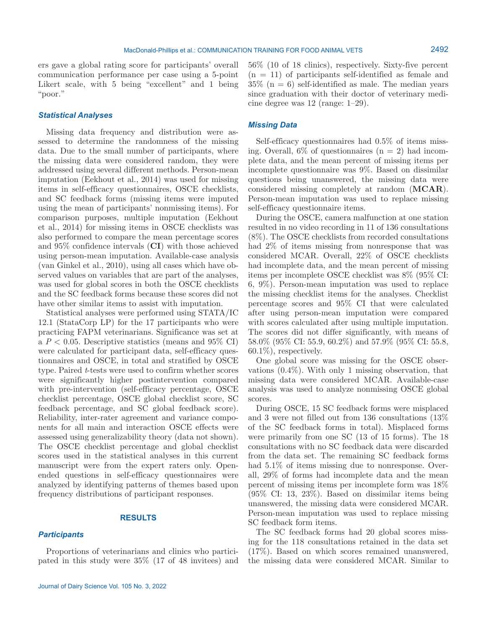ers gave a global rating score for participants' overall communication performance per case using a 5-point Likert scale, with 5 being "excellent" and 1 being "poor."

#### *Statistical Analyses*

Missing data frequency and distribution were assessed to determine the randomness of the missing data. Due to the small number of participants, where the missing data were considered random, they were addressed using several different methods. Person-mean imputation (Eekhout et al., 2014) was used for missing items in self-efficacy questionnaires, OSCE checklists, and SC feedback forms (missing items were imputed using the mean of participants' nonmissing items). For comparison purposes, multiple imputation (Eekhout et al., 2014) for missing items in OSCE checklists was also performed to compare the mean percentage scores and 95% confidence intervals (**CI**) with those achieved using person-mean imputation. Available-case analysis (van Ginkel et al., 2010), using all cases which have observed values on variables that are part of the analyses, was used for global scores in both the OSCE checklists and the SC feedback forms because these scores did not have other similar items to assist with imputation.

Statistical analyses were performed using STATA/IC 12.1 (StataCorp LP) for the 17 participants who were practicing FAPM veterinarians. Significance was set at a  $P < 0.05$ . Descriptive statistics (means and 95\% CI) were calculated for participant data, self-efficacy questionnaires and OSCE, in total and stratified by OSCE type. Paired *t*-tests were used to confirm whether scores were significantly higher postintervention compared with pre-intervention (self-efficacy percentage, OSCE checklist percentage, OSCE global checklist score, SC feedback percentage, and SC global feedback score). Reliability, inter-rater agreement and variance components for all main and interaction OSCE effects were assessed using generalizability theory (data not shown). The OSCE checklist percentage and global checklist scores used in the statistical analyses in this current manuscript were from the expert raters only. Openended questions in self-efficacy questionnaires were analyzed by identifying patterns of themes based upon frequency distributions of participant responses.

#### **RESULTS**

### *Participants*

56% (10 of 18 clinics), respectively. Sixty-five percent  $(n = 11)$  of participants self-identified as female and  $35\%$  (n = 6) self-identified as male. The median years since graduation with their doctor of veterinary medicine degree was 12 (range: 1–29).

#### *Missing Data*

Self-efficacy questionnaires had 0.5% of items missing. Overall,  $6\%$  of questionnaires  $(n = 2)$  had incomplete data, and the mean percent of missing items per incomplete questionnaire was 9%. Based on dissimilar questions being unanswered, the missing data were considered missing completely at random (**MCAR**). Person-mean imputation was used to replace missing self-efficacy questionnaire items.

During the OSCE, camera malfunction at one station resulted in no video recording in 11 of 136 consultations (8%). The OSCE checklists from recorded consultations had 2% of items missing from nonresponse that was considered MCAR. Overall, 22% of OSCE checklists had incomplete data, and the mean percent of missing items per incomplete OSCE checklist was 8% (95% CI: 6, 9%). Person-mean imputation was used to replace the missing checklist items for the analyses. Checklist percentage scores and 95% CI that were calculated after using person-mean imputation were compared with scores calculated after using multiple imputation. The scores did not differ significantly, with means of 58.0% (95% CI: 55.9, 60.2%) and 57.9% (95% CI: 55.8, 60.1%), respectively.

One global score was missing for the OSCE observations (0.4%). With only 1 missing observation, that missing data were considered MCAR. Available-case analysis was used to analyze nonmissing OSCE global scores.

During OSCE, 15 SC feedback forms were misplaced and 3 were not filled out from 136 consultations (13% of the SC feedback forms in total). Misplaced forms were primarily from one SC (13 of 15 forms). The 18 consultations with no SC feedback data were discarded from the data set. The remaining SC feedback forms had 5.1% of items missing due to nonresponse. Overall, 29% of forms had incomplete data and the mean percent of missing items per incomplete form was 18% (95% CI: 13, 23%). Based on dissimilar items being unanswered, the missing data were considered MCAR. Person-mean imputation was used to replace missing SC feedback form items.

The SC feedback forms had 20 global scores missing for the 118 consultations retained in the data set (17%). Based on which scores remained unanswered, the missing data were considered MCAR. Similar to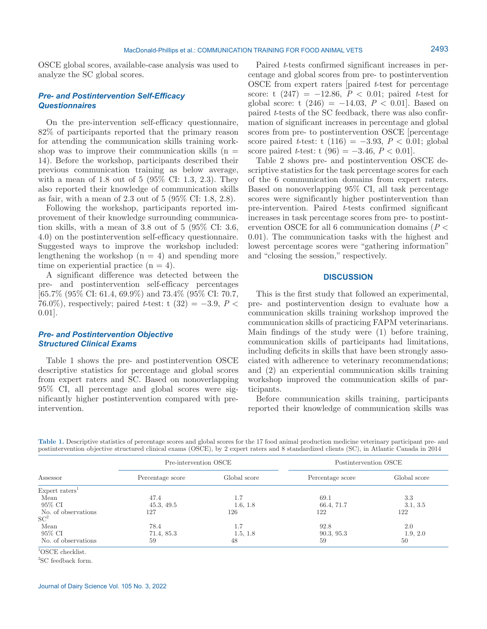OSCE global scores, available-case analysis was used to analyze the SC global scores.

## *Pre- and Postintervention Self-Efficacy Questionnaires*

On the pre-intervention self-efficacy questionnaire, 82% of participants reported that the primary reason for attending the communication skills training workshop was to improve their communication skills  $(n =$ 14). Before the workshop, participants described their previous communication training as below average, with a mean of 1.8 out of 5 (95% CI: 1.3, 2.3). They also reported their knowledge of communication skills as fair, with a mean of 2.3 out of 5 (95% CI: 1.8, 2.8).

Following the workshop, participants reported improvement of their knowledge surrounding communication skills, with a mean of 3.8 out of 5 (95% CI: 3.6, 4.0) on the postintervention self-efficacy questionnaire. Suggested ways to improve the workshop included: lengthening the workshop  $(n = 4)$  and spending more time on experiential practice  $(n = 4)$ .

A significant difference was detected between the pre- and postintervention self-efficacy percentages [65.7% (95% CI: 61.4, 69.9%) and 73.4% (95% CI: 70.7, 76.0%), respectively; paired *t*-test:  $\tau$  (32) = -3.9, *P* < 0.01].

## *Pre- and Postintervention Objective Structured Clinical Exams*

Table 1 shows the pre- and postintervention OSCE descriptive statistics for percentage and global scores from expert raters and SC. Based on nonoverlapping 95% CI, all percentage and global scores were significantly higher postintervention compared with preintervention.

Paired *t*-tests confirmed significant increases in percentage and global scores from pre- to postintervention OSCE from expert raters [paired *t*-test for percentage score: t  $(247) = -12.86$ ,  $P < 0.01$ ; paired *t*-test for global score: t  $(246) = -14.03$ ,  $P < 0.01$ . Based on paired *t*-tests of the SC feedback, there was also confirmation of significant increases in percentage and global scores from pre- to postintervention OSCE [percentage score paired *t*-test: t (116) =  $-3.93, P < 0.01$ ; global score paired *t*-test: t  $(96) = -3.46, P < 0.01$ .

Table 2 shows pre- and postintervention OSCE descriptive statistics for the task percentage scores for each of the 6 communication domains from expert raters. Based on nonoverlapping 95% CI, all task percentage scores were significantly higher postintervention than pre-intervention. Paired *t*-tests confirmed significant increases in task percentage scores from pre- to postintervention OSCE for all 6 communication domains (*P* < 0.01). The communication tasks with the highest and lowest percentage scores were "gathering information" and "closing the session," respectively.

## **DISCUSSION**

This is the first study that followed an experimental, pre- and postintervention design to evaluate how a communication skills training workshop improved the communication skills of practicing FAPM veterinarians. Main findings of the study were (1) before training, communication skills of participants had limitations, including deficits in skills that have been strongly associated with adherence to veterinary recommendations; and (2) an experiential communication skills training workshop improved the communication skills of participants.

Before communication skills training, participants reported their knowledge of communication skills was

| Table 1. Descriptive statistics of percentage scores and global scores for the 17 food animal production medicine veterinary participant pre- and |  |  |  |  |
|---------------------------------------------------------------------------------------------------------------------------------------------------|--|--|--|--|
| postintervention objective structured clinical exams (OSCE), by 2 expert raters and 8 standardized clients (SC), in Atlantic Canada in 2014       |  |  |  |  |

|                            | Pre-intervention OSCE |              | Postintervention OSCE |              |  |
|----------------------------|-----------------------|--------------|-----------------------|--------------|--|
| Assessor                   | Percentage score      | Global score | Percentage score      | Global score |  |
| Expert raters <sup>1</sup> |                       |              |                       |              |  |
| Mean                       | 47.4                  | 1.7          | 69.1                  | 3.3          |  |
| 95% CI                     | 45.3, 49.5            | 1.6, 1.8     | 66.4, 71.7            | 3.1, 3.5     |  |
| No. of observations        | 127                   | 126          | 122                   | 122          |  |
| SC <sup>2</sup>            |                       |              |                       |              |  |
| Mean                       | 78.4                  | 1.7          | 92.8                  | 2.0          |  |
| 95% CI                     | 71.4, 85.3            | 1.5, 1.8     | 90.3, 95.3            | 1.9, 2.0     |  |
| No. of observations        | 59                    | 48           | 59                    | 50           |  |

1 OSCE checklist.

2 SC feedback form.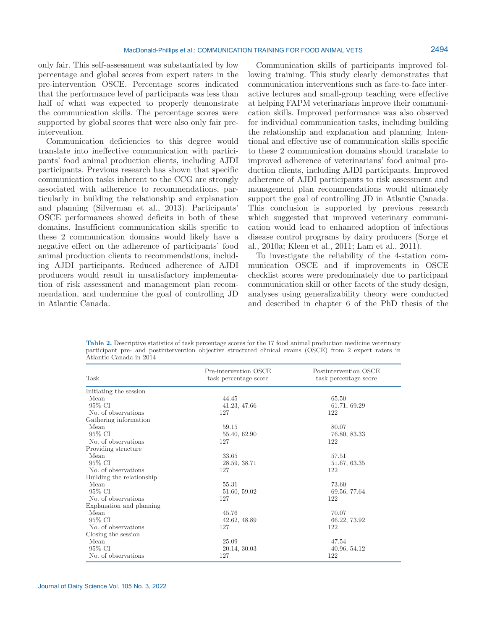only fair. This self-assessment was substantiated by low percentage and global scores from expert raters in the pre-intervention OSCE. Percentage scores indicated that the performance level of participants was less than half of what was expected to properly demonstrate the communication skills. The percentage scores were supported by global scores that were also only fair preintervention.

Communication deficiencies to this degree would translate into ineffective communication with participants' food animal production clients, including AJDI participants. Previous research has shown that specific communication tasks inherent to the CCG are strongly associated with adherence to recommendations, particularly in building the relationship and explanation and planning (Silverman et al., 2013). Participants' OSCE performances showed deficits in both of these domains. Insufficient communication skills specific to these 2 communication domains would likely have a negative effect on the adherence of participants' food animal production clients to recommendations, including AJDI participants. Reduced adherence of AJDI producers would result in unsatisfactory implementation of risk assessment and management plan recommendation, and undermine the goal of controlling JD in Atlantic Canada.

Communication skills of participants improved following training. This study clearly demonstrates that communication interventions such as face-to-face interactive lectures and small-group teaching were effective at helping FAPM veterinarians improve their communication skills. Improved performance was also observed for individual communication tasks, including building the relationship and explanation and planning. Intentional and effective use of communication skills specific to these 2 communication domains should translate to improved adherence of veterinarians' food animal production clients, including AJDI participants. Improved adherence of AJDI participants to risk assessment and management plan recommendations would ultimately support the goal of controlling JD in Atlantic Canada. This conclusion is supported by previous research which suggested that improved veterinary communication would lead to enhanced adoption of infectious disease control programs by dairy producers (Sorge et al., 2010a; Kleen et al., 2011; Lam et al., 2011).

To investigate the reliability of the 4-station communication OSCE and if improvements in OSCE checklist scores were predominately due to participant communication skill or other facets of the study design, analyses using generalizability theory were conducted and described in chapter 6 of the PhD thesis of the

**Table 2.** Descriptive statistics of task percentage scores for the 17 food animal production medicine veterinary participant pre- and postintervention objective structured clinical exams (OSCE) from 2 expert raters in Atlantic Canada in 2014

| Task                      | Pre-intervention OSCE<br>task percentage score | Postintervention OSCE<br>task percentage score |  |  |
|---------------------------|------------------------------------------------|------------------------------------------------|--|--|
| Initiating the session    |                                                |                                                |  |  |
| Mean                      | 44.45                                          | 65.50                                          |  |  |
| 95% CI                    | 41.23, 47.66                                   | 61.71, 69.29                                   |  |  |
| No. of observations       | 127                                            | 122                                            |  |  |
| Gathering information     |                                                |                                                |  |  |
| Mean                      | 59.15                                          | 80.07                                          |  |  |
| 95% CI                    | 55.40, 62.90                                   | 76.80, 83.33                                   |  |  |
| No. of observations       | 127                                            | 122                                            |  |  |
| Providing structure       |                                                |                                                |  |  |
| Mean                      | 33.65                                          | 57.51                                          |  |  |
| 95% CI                    | 28.59, 38.71                                   | 51.67, 63.35                                   |  |  |
| No. of observations       | 127                                            | 122                                            |  |  |
| Building the relationship |                                                |                                                |  |  |
| Mean                      | 55.31                                          | 73.60                                          |  |  |
| 95% CI                    | 51.60, 59.02                                   | 69.56, 77.64                                   |  |  |
| No. of observations       | 127                                            | 122                                            |  |  |
| Explanation and planning  |                                                |                                                |  |  |
| Mean                      | 45.76                                          | 70.07                                          |  |  |
| 95% CI                    | 42.62, 48.89                                   | 66.22, 73.92                                   |  |  |
| No. of observations       | 127                                            | 122                                            |  |  |
| Closing the session       |                                                |                                                |  |  |
| Mean                      | 25.09                                          | 47.54                                          |  |  |
| 95% CI                    | 20.14, 30.03                                   | 40.96, 54.12                                   |  |  |
| No. of observations       | 127                                            | 122                                            |  |  |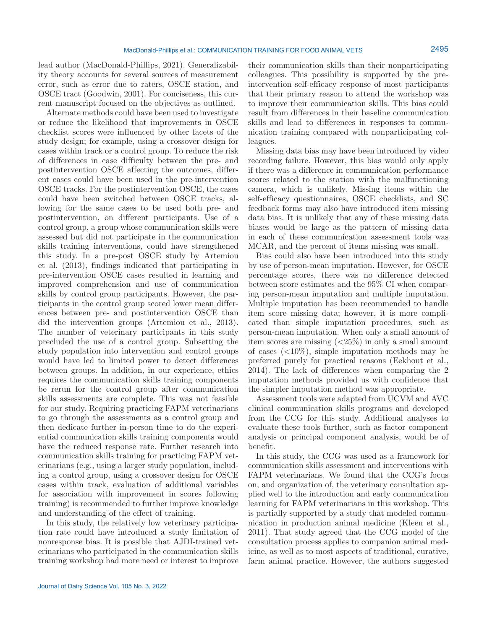lead author (MacDonald-Phillips, 2021). Generalizability theory accounts for several sources of measurement error, such as error due to raters, OSCE station, and OSCE tract (Goodwin, 2001). For conciseness, this current manuscript focused on the objectives as outlined.

Alternate methods could have been used to investigate or reduce the likelihood that improvements in OSCE checklist scores were influenced by other facets of the study design; for example, using a crossover design for cases within track or a control group. To reduce the risk of differences in case difficulty between the pre- and postintervention OSCE affecting the outcomes, different cases could have been used in the pre-intervention OSCE tracks. For the postintervention OSCE, the cases could have been switched between OSCE tracks, allowing for the same cases to be used both pre- and postintervention, on different participants. Use of a control group, a group whose communication skills were assessed but did not participate in the communication skills training interventions, could have strengthened this study. In a pre-post OSCE study by Artemiou et al. (2013), findings indicated that participating in pre-intervention OSCE cases resulted in learning and improved comprehension and use of communication skills by control group participants. However, the participants in the control group scored lower mean differences between pre- and postintervention OSCE than did the intervention groups (Artemiou et al., 2013). The number of veterinary participants in this study precluded the use of a control group. Subsetting the study population into intervention and control groups would have led to limited power to detect differences between groups. In addition, in our experience, ethics requires the communication skills training components be rerun for the control group after communication skills assessments are complete. This was not feasible for our study. Requiring practicing FAPM veterinarians to go through the assessments as a control group and then dedicate further in-person time to do the experiential communication skills training components would have the reduced response rate. Further research into communication skills training for practicing FAPM veterinarians (e.g., using a larger study population, including a control group, using a crossover design for OSCE cases within track, evaluation of additional variables for association with improvement in scores following training) is recommended to further improve knowledge and understanding of the effect of training.

In this study, the relatively low veterinary participation rate could have introduced a study limitation of nonresponse bias. It is possible that AJDI-trained veterinarians who participated in the communication skills training workshop had more need or interest to improve

their communication skills than their nonparticipating colleagues. This possibility is supported by the preintervention self-efficacy response of most participants that their primary reason to attend the workshop was to improve their communication skills. This bias could result from differences in their baseline communication skills and lead to differences in responses to communication training compared with nonparticipating colleagues.

Missing data bias may have been introduced by video recording failure. However, this bias would only apply if there was a difference in communication performance scores related to the station with the malfunctioning camera, which is unlikely. Missing items within the self-efficacy questionnaires, OSCE checklists, and SC feedback forms may also have introduced item missing data bias. It is unlikely that any of these missing data biases would be large as the pattern of missing data in each of these communication assessment tools was MCAR, and the percent of items missing was small.

Bias could also have been introduced into this study by use of person-mean imputation. However, for OSCE percentage scores, there was no difference detected between score estimates and the 95% CI when comparing person-mean imputation and multiple imputation. Multiple imputation has been recommended to handle item score missing data; however, it is more complicated than simple imputation procedures, such as person-mean imputation. When only a small amount of item scores are missing (<25%) in only a small amount of cases  $\left( \langle 10\% \rangle, \text{ simple imputation methods may be} \right)$ preferred purely for practical reasons (Eekhout et al., 2014). The lack of differences when comparing the 2 imputation methods provided us with confidence that the simpler imputation method was appropriate.

Assessment tools were adapted from UCVM and AVC clinical communication skills programs and developed from the CCG for this study. Additional analyses to evaluate these tools further, such as factor component analysis or principal component analysis, would be of benefit.

In this study, the CCG was used as a framework for communication skills assessment and interventions with FAPM veterinarians. We found that the CCG's focus on, and organization of, the veterinary consultation applied well to the introduction and early communication learning for FAPM veterinarians in this workshop. This is partially supported by a study that modeled communication in production animal medicine (Kleen et al., 2011). That study agreed that the CCG model of the consultation process applies to companion animal medicine, as well as to most aspects of traditional, curative, farm animal practice. However, the authors suggested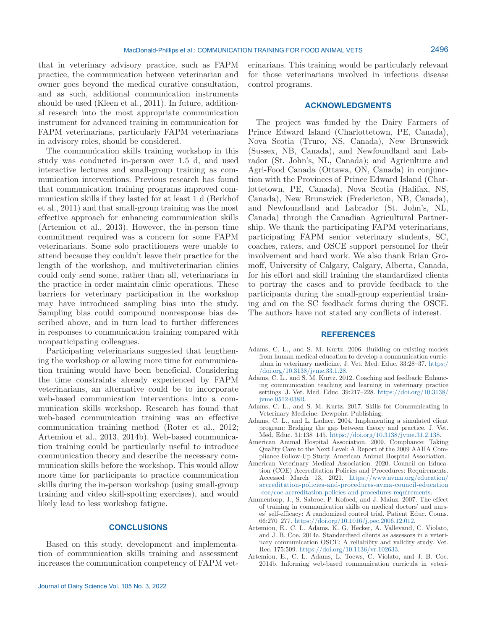that in veterinary advisory practice, such as FAPM practice, the communication between veterinarian and owner goes beyond the medical curative consultation, and as such, additional communication instruments should be used (Kleen et al., 2011). In future, additional research into the most appropriate communication instrument for advanced training in communication for FAPM veterinarians, particularly FAPM veterinarians in advisory roles, should be considered.

The communication skills training workshop in this study was conducted in-person over 1.5 d, and used interactive lectures and small-group training as communication interventions. Previous research has found that communication training programs improved communication skills if they lasted for at least 1 d (Berkhof et al., 2011) and that small-group training was the most effective approach for enhancing communication skills (Artemiou et al., 2013). However, the in-person time commitment required was a concern for some FAPM veterinarians. Some solo practitioners were unable to attend because they couldn't leave their practice for the length of the workshop, and multiveterinarian clinics could only send some, rather than all, veterinarians in the practice in order maintain clinic operations. These barriers for veterinary participation in the workshop may have introduced sampling bias into the study. Sampling bias could compound nonresponse bias described above, and in turn lead to further differences in responses to communication training compared with nonparticipating colleagues.

Participating veterinarians suggested that lengthening the workshop or allowing more time for communication training would have been beneficial. Considering the time constraints already experienced by FAPM veterinarians, an alternative could be to incorporate web-based communication interventions into a communication skills workshop. Research has found that web-based communication training was an effective communication training method (Roter et al., 2012; Artemiou et al., 2013, 2014b). Web-based communication training could be particularly useful to introduce communication theory and describe the necessary communication skills before the workshop. This would allow more time for participants to practice communication skills during the in-person workshop (using small-group training and video skill-spotting exercises), and would likely lead to less workshop fatigue.

#### **CONCLUSIONS**

Based on this study, development and implementation of communication skills training and assessment increases the communication competency of FAPM veterinarians. This training would be particularly relevant for those veterinarians involved in infectious disease control programs.

## **ACKNOWLEDGMENTS**

The project was funded by the Dairy Farmers of Prince Edward Island (Charlottetown, PE, Canada), Nova Scotia (Truro, NS, Canada), New Brunswick (Sussex, NB, Canada), and Newfoundland and Labrador (St. John's, NL, Canada); and Agriculture and Agri-Food Canada (Ottawa, ON, Canada) in conjunction with the Provinces of Prince Edward Island (Charlottetown, PE, Canada), Nova Scotia (Halifax, NS, Canada), New Brunswick (Fredericton, NB, Canada), and Newfoundland and Labrador (St. John's, NL, Canada) through the Canadian Agricultural Partnership. We thank the participating FAPM veterinarians, participating FAPM senior veterinary students, SC, coaches, raters, and OSCE support personnel for their involvement and hard work. We also thank Brian Gromoff, University of Calgary, Calgary, Alberta, Canada, for his effort and skill training the standardized clients to portray the cases and to provide feedback to the participants during the small-group experiential training and on the SC feedback forms during the OSCE. The authors have not stated any conflicts of interest.

#### **REFERENCES**

- Adams, C. L., and S. M. Kurtz. 2006. Building on existing models from human medical education to develop a communication curriculum in veterinary medicine. J. Vet. Med. Educ. 33:28–37. [https:/](https://doi.org/10.3138/jvme.33.1.28) [/doi.org/10.3138/jvme.33.1.28](https://doi.org/10.3138/jvme.33.1.28).
- Adams, C. L., and S. M. Kurtz. 2012. Coaching and feedback: Enhancing communication teaching and learning in veterinary practice settings. J. Vet. Med. Educ. 39:217–228. [https://doi.org/10.3138/](https://doi.org/10.3138/jvme.0512-038R) [jvme.0512-038R](https://doi.org/10.3138/jvme.0512-038R).
- Adams, C. L., and S. M. Kurtz. 2017. Skills for Communicating in Veterinary Medicine. Dewpoint Publishing.
- Adams, C. L., and L. Ladner. 2004. Implementing a simulated client program: Bridging the gap between theory and practice. J. Vet. Med. Educ. 31:138–145. [https://doi.org/10.3138/jvme.31.2.138.](https://doi.org/10.3138/jvme.31.2.138)
- American Animal Hospital Association. 2009. Compliance: Taking Quality Care to the Next Level: A Report of the 2009 AAHA Compliance Follow-Up Study. American Animal Hospital Association.
- American Veterinary Medical Association. 2020. Council on Education (COE) Accreditation Policies and Procedures: Requirements. Accessed March 13, 2021. [https://www.avma.org/education/](https://www.avma.org/education/accreditation-policies-and-procedures-avma-council-education-coe/coe-accreditation-policies-and-procedures-requirements) [accreditation-policies-and-procedures-avma-council-education](https://www.avma.org/education/accreditation-policies-and-procedures-avma-council-education-coe/coe-accreditation-policies-and-procedures-requirements) [-coe/coe-accreditation-policies-and-procedures-requirements](https://www.avma.org/education/accreditation-policies-and-procedures-avma-council-education-coe/coe-accreditation-policies-and-procedures-requirements).
- Ammentorp, J., S. Sabroe, P. Kofoed, and J. Mainz. 2007. The effect of training in communication skills on medical doctors' and nurses' self-efficacy: A randomized control trial. Patient Educ. Couns. 66:270–277. [https://doi.org/10.1016/j.pec.2006.12.012.](https://doi.org/10.1016/j.pec.2006.12.012)
- Artemiou, E., C. L. Adams, K. G. Hecker, A. Vallevand, C. Violato, and J. B. Coe. 2014a. Standardised clients as assessors in a veterinary communication OSCE: A reliability and validity study. Vet. Rec. 175:509. <https://doi.org/10.1136/vr.102633>.
- Artemiou, E., C. L. Adams, L. Toews, C. Violato, and J. B. Coe. 2014b. Informing web-based communication curricula in veteri-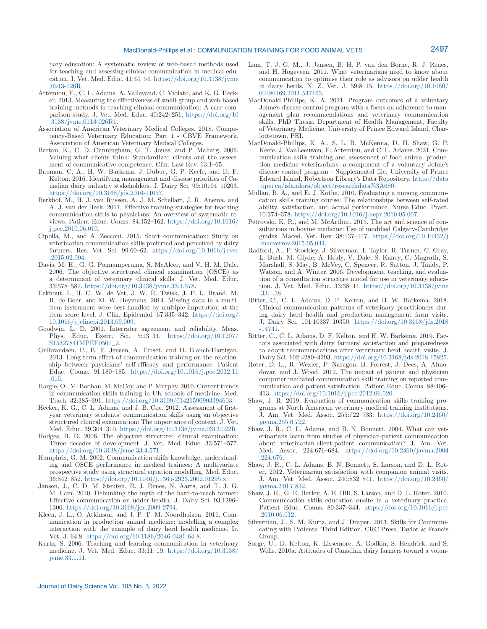nary education: A systematic review of web-based methods used for teaching and assessing clinical communication in medical education. J. Vet. Med. Educ. 41:44–54. [https://doi.org/10.3138/jvme](https://doi.org/10.3138/jvme.0913-126R) [.0913-126R.](https://doi.org/10.3138/jvme.0913-126R)

- Artemiou, E., C. L. Adams, A. Vallevand, C. Violato, and K. G. Hecker. 2013. Measuring the effectiveness of small-group and web-based training methods in teaching clinical communication: A case comparison study. J. Vet. Med. Educ. 40:242–251. [https://doi.org/10](https://doi.org/10.3138/jvme.0113-026R1) [.3138/jvme.0113-026R1](https://doi.org/10.3138/jvme.0113-026R1).
- Association of American Veterinary Medical Colleges. 2018. Competency-Based Veterinary Education: Part 1 - CBVE Framework. Association of American Veterinary Medical Colleges.
- Barton, K., C. D. Cunningham, G. T. Jones, and P. Maharg. 2006. Valuing what clients think: Standardized clients and the assessment of communicative competence. Clin. Law Rev. 13:1–65.
- Bauman, C. A., H. W. Barkema, J. Dubuc, G. P. Keefe, and D. F. Kelton. 2016. Identifying management and disease priorities of Canadian dairy industry stakeholders. J. Dairy Sci. 99:10194–10203. [https://doi.org/10.3168/jds.2016-11057.](https://doi.org/10.3168/jds.2016-11057)
- Berkhof, M., H. J. van Rijssen, A. J. M. Schellart, J. R. Anema, and A. J. van der Beek. 2011. Effective training strategies for teaching communication skills to physicians: An overview of systematic reviews. Patient Educ. Couns. 84:152–162. [https://doi.org/10.1016/](https://doi.org/10.1016/j.pec.2010.06.010) [j.pec.2010.06.010.](https://doi.org/10.1016/j.pec.2010.06.010)
- Cipolla, M., and A. Zecconi. 2015. Short communication: Study on veterinarian communication skills preferred and perceived by dairy farmers. Res. Vet. Sci. 99:60–62. [https://doi.org/10.1016/j.rvsc](https://doi.org/10.1016/j.rvsc.2015.02.004) [.2015.02.004](https://doi.org/10.1016/j.rvsc.2015.02.004).
- Davis, M. H., G. G. Ponnamperuma, S. McAleer, and V. H. M. Dale. 2006. The objective structured clinical examination (OSCE) as a determinant of veterinary clinical skills. J. Vet. Med. Educ. 33:578–587. [https://doi.org/10.3138/jvme.33.4.578.](https://doi.org/10.3138/jvme.33.4.578)
- Eekhout, I., H. C. W. de Vet, J. W. R. Twisk, J. P. L. Brand, M. R. de Boer, and M. W. Heymans. 2014. Missing data in a multiitem instrument were best handled by multiple imputation at the item score level. J. Clin. Epidemiol. 67:335–342. [https://doi.org/](https://doi.org/10.1016/j.jclinepi.2013.09.009) [10.1016/j.jclinepi.2013.09.009.](https://doi.org/10.1016/j.jclinepi.2013.09.009)
- Goodwin, L. D. 2001. Interrater agreement and reliability. Meas. Phys. Educ. Exerc. Sci. 5:13–34. [https://doi.org/10.1207/](https://doi.org/10.1207/S15327841MPEE0501_2) [S15327841MPEE0501\\_2](https://doi.org/10.1207/S15327841MPEE0501_2).
- Gulbrandsen, P., B. F. Jensen, A. Finset, and D. Blanch-Hartigan. 2013. Long-term effect of communication training on the relationship between physicians' self-efficacy and performance. Patient Educ. Couns. 91:180–185. [https://doi.org/10.1016/j.pec.2012.11](https://doi.org/10.1016/j.pec.2012.11.015) [.015.](https://doi.org/10.1016/j.pec.2012.11.015)
- Hargie, O., M. Boohan, M. McCoy, and P. Murphy. 2010. Current trends in communication skills training in UK schools of medicine. Med. Teach. 32:385–391. [https://doi.org/10.3109/01421590903394603.](https://doi.org/10.3109/01421590903394603)
- Hecker, K. G., C. L. Adams, and J. B. Coe. 2012. Assessment of firstyear veterinary students' communication skills using an objective structured clinical examination: The importance of context. J. Vet. Med. Educ. 39:304–310. [https://doi.org/10.3138/jvme.0312.022R.](https://doi.org/10.3138/jvme.0312.022R)
- Hodges, B. D. 2006. The objective structured clinical examination: Three decades of development. J. Vet. Med. Educ. 33:571–577. <https://doi.org/10.3138/jvme.33.4.571>.
- Humphris, G. M. 2002. Communication skills knowledge, understanding and OSCE performance in medical trainees: A multivariate prospective study using structural equation modelling. Med. Educ. 36:842–852. [https://doi.org/10.1046/j.1365-2923.2002.01295.x.](https://doi.org/10.1046/j.1365-2923.2002.01295.x)
- Jansen, J., C. D. M. Steuten, R. J. Renes, N. Aarts, and T. J. G. M. Lam. 2010. Debunking the myth of the hard-to-reach farmer: Effective communication on udder health. J. Dairy Sci. 93:1296– 1306. <https://doi.org/10.3168/jds.2009-2794>.
- Kleen, J. L., O. Atkinson, and J. P. T. M. Noordhuizen. 2011. Communication in production animal medicine: modelling a complex interaction with the example of dairy herd health medicine. Ir. Vet. J. 64:8.<https://doi.org/10.1186/2046-0481-64-8>.
- Kurtz, S. 2006. Teaching and learning communication in veterinary medicine. J. Vet. Med. Educ. 33:11–19. [https://doi.org/10.3138/](https://doi.org/10.3138/jvme.33.1.11) [jvme.33.1.11.](https://doi.org/10.3138/jvme.33.1.11)
- Lam, T. J. G. M., J. Jansen, B. H. P. van den Borne, R. J. Renes, and H. Hogeveen. 2011. What veterinarians need to know about communication to optimise their role as advisors on udder health in dairy herds. N. Z. Vet. J. 59:8–15. [https://doi.org/10.1080/](https://doi.org/10.1080/00480169.2011.547163) [00480169.2011.547163.](https://doi.org/10.1080/00480169.2011.547163)
- MacDonald-Phillips, K. A. 2021. Program outcomes of a voluntary Johne's disease control program with a focus on adherence to management plan recommendations and veterinary communication skills. PhD Thesis. Department of Health Management, Faculty of Veterinary Medicine, University of Prince Edward Island, Charlottetown, PEI.
- MacDonald-Phillips, K. A., S. L. B. McKenna, D. H. Shaw, G. P. Keefe, J. VanLeeuwen, E. Artemiou, and C. L. Adams. 2021. Communication skills training and assessment of food animal production medicine veterinarians: a component of a voluntary Johne's disease control program - Supplemental file. University of Prince Edward Island, Robertson Library's Data Repository. [https://data](https://data.upei.ca/islandora/object/researchdata%3A680) [.upei.ca/islandora/object/researchdata%3A680.](https://data.upei.ca/islandora/object/researchdata%3A680)
- Mullan, B. A., and E. J. Kothe. 2010. Evaluating a nursing communication skills training course: The relationships between self-rated ability, satisfaction, and actual performance. Nurse Educ. Pract. 10:374–378.<https://doi.org/10.1016/j.nepr.2010.05.007>.
- Petrovski, K. R., and M. McArthur. 2015. The art and science of consultations in bovine medicine: Use of modified Calgary-Cambridge guides. Maced. Vet. Rev. 38:137–147. [https://doi.org/10.14432/j](https://doi.org/10.14432/j.macvetrev.2015.05.044) [.macvetrev.2015.05.044.](https://doi.org/10.14432/j.macvetrev.2015.05.044)
- Radford, A., P. Stockley, J. Silverman, I. Taylor, R. Turner, C. Gray, L. Bush, M. Glyde, A. Healy, V. Dale, S. Kaney, C. Magrath, S. Marshall, S. May, B. McVey, C. Spencer, R. Sutton, J. Tandy, P. Watson, and A. Winter. 2006. Development, teaching, and evaluation of a consultation structure model for use in veterinary education. J. Vet. Med. Educ. 33:38–44. [https://doi.org/10.3138/jvme](https://doi.org/10.3138/jvme.33.1.38) [.33.1.38.](https://doi.org/10.3138/jvme.33.1.38)
- Ritter, C., C. L. Adams, D. F. Kelton, and H. W. Barkema. 2018. Clinical communication patterns of veterinary practitioners during dairy herd health and production management farm visits. J. Dairy Sci. 101:10337–10350. [https://doi.org/10.3168/jds.2018](https://doi.org/10.3168/jds.2018-14741) [-14741](https://doi.org/10.3168/jds.2018-14741).
- Ritter, C., C. L. Adams, D. F. Kelton, and H. W. Barkema. 2019. Factors associated with dairy farmers' satisfaction and preparedness to adopt recommendations after veterinary herd health visits. J. Dairy Sci. 102:4280–4293. [https://doi.org/10.3168/jds.2018-15825.](https://doi.org/10.3168/jds.2018-15825)
- Roter, D. L., R. Wexler, P. Naragon, B. Forrest, J. Dees, A. Almodovar, and J. Wood. 2012. The impact of patient and physician computer mediated communication skill training on reported communication and patient satisfaction. Patient Educ. Couns. 88:406– 413.<https://doi.org/10.1016/j.pec.2012.06.020>.
- Shaw, J. R. 2019. Evaluation of communication skills training programs at North American veterinary medical training institutions. J. Am. Vet. Med. Assoc. 255:722–733. [https://doi.org/10.2460/](https://doi.org/10.2460/javma.255.6.722) [javma.255.6.722.](https://doi.org/10.2460/javma.255.6.722)
- Shaw, J. R., C. L. Adams, and B. N. Bonnett. 2004. What can veterinarians learn from studies of physician-patient communication about veterinarian-client-patient communication? J. Am. Vet. Med. Assoc. 224:676–684. [https://doi.org/10.2460/javma.2004](https://doi.org/10.2460/javma.2004.224.676) [.224.676](https://doi.org/10.2460/javma.2004.224.676).
- Shaw, J. R., C. L. Adams, B. N. Bonnett, S. Larson, and D. L. Roter. 2012. Veterinarian satisfaction with companion animal visits. J. Am. Vet. Med. Assoc. 240:832–841. [https://doi.org/10.2460/](https://doi.org/10.2460/javma.240.7.832) [javma.240.7.832.](https://doi.org/10.2460/javma.240.7.832)
- Shaw, J. R., G. E. Barley, A. E. Hill, S. Larson, and D. L. Roter. 2010. Communication skills education onsite in a veterinary practice. Patient Educ. Couns. 80:337–344. [https://doi.org/10.1016/j.pec](https://doi.org/10.1016/j.pec.2010.06.012) [.2010.06.012](https://doi.org/10.1016/j.pec.2010.06.012).
- Silverman, J., S. M. Kurtz, and J. Draper. 2013. Skills for Communicating with Patients. Third Edition. CRC Press, Taylor & Francis Group.
- Sorge, U., D. Kelton, K. Lissemore, A. Godkin, S. Hendrick, and S. Wells. 2010a. Attitudes of Canadian dairy farmers toward a volun-